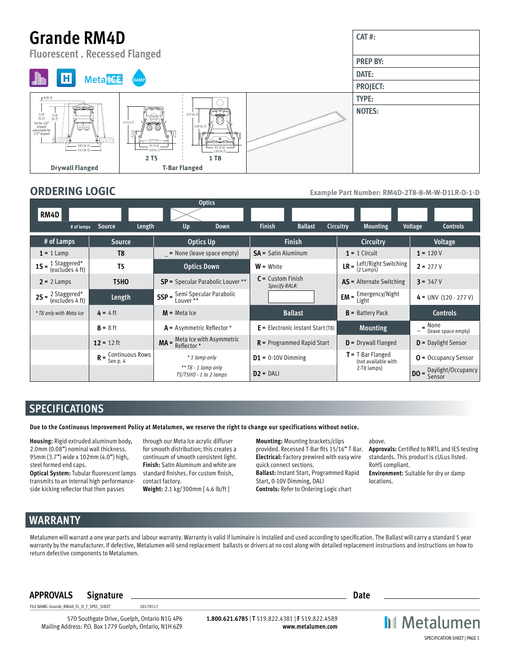# **Grande RM4D**



**ORDERING LOGIC Example Part Number: RM4D-2T8-8-M-W-D1LR-D-1-D**

**CAT #:**

|                                                                    |                  | <b>Optics</b>                                                                                            |                                      |                                                                   |                                     |  |
|--------------------------------------------------------------------|------------------|----------------------------------------------------------------------------------------------------------|--------------------------------------|-------------------------------------------------------------------|-------------------------------------|--|
| RM4D                                                               |                  |                                                                                                          |                                      |                                                                   |                                     |  |
| # of lamps                                                         | Source<br>Length | Up<br>Down                                                                                               | <b>Finish</b><br><b>Ballast</b>      | Circuitry<br><b>Mounting</b>                                      | Voltage<br><b>Controls</b>          |  |
| # of Lamps                                                         | <b>Source</b>    | <b>Optics Up</b>                                                                                         | <b>Finish</b>                        | <b>Circuitry</b>                                                  | <b>Voltage</b>                      |  |
| $1 = 1$ Lamp                                                       | T8               | $=$ None (leave space empty)                                                                             | $SA =$ Satin Aluminum                | $1 = 1$ Circuit                                                   | $1 = 120V$                          |  |
| <b>1S</b> = $\frac{1 \text{ Staggered}^*}{(\text{excludes 4 ft})}$ | T <sub>5</sub>   | <b>Optics Down</b>                                                                                       | $W =$ White                          | <b>LR</b> = $\frac{\text{Left/Right Switching}}{2 \text{ Lamps}}$ | $2 = 277V$                          |  |
| <b>T5HO</b><br>$2 = 2$ Lamps                                       |                  | <b>SP</b> = Specular Parabolic Louver **                                                                 | $C =$ Custom Finish<br>Specify RAL#: | <b>AS</b> = Alternate Switching                                   | $3 = 347V$                          |  |
| <b>2S</b> = $\frac{2 \text{ Staggered}^*}{(\text{excludes 4 ft})}$ | Length           | <b>SSP</b> = $\frac{\text{Semi Specular Parabolic}}{\text{Lower **}}$                                    |                                      | <b>EM</b> = $\frac{Emergency/Night}{1.744}$<br>Light              | $4 = UNV (120 - 277 V)$             |  |
| * T8 only with Meta Ice                                            | $4 = 4$ ft       | $M$ = Meta Ice                                                                                           | <b>Ballast</b>                       | $B =$ Battery Pack                                                | <b>Controls</b>                     |  |
|                                                                    | $8 = 8$ ft       | $A =$ Asymmetric Reflector *                                                                             | $E =$ Electronic Instant Start (T8)  | <b>Mounting</b>                                                   | $=$ None<br>$=$ (leave space empty) |  |
| 12 = 12 ft                                                         |                  | <b>MA</b> = $\frac{\text{Meta}}{\text{Reflection}}$ * $\frac{\text{With Asymmetric}}{\text{Reflection}}$ | $R$ = Programmed Rapid Start         | $D =$ Drywall Flanged                                             | $D =$ Daylight Sensor               |  |
| $R =$ Continuous Rows<br>See p. 4                                  |                  | * 1 lamp only                                                                                            | $D1 = 0-10V$ Dimming                 | $T = T-Bar Flanged$<br>(not available with                        | $O =$ Occupancy Sensor              |  |
|                                                                    |                  | ** $T8 - 1$ lamp only<br>$T5/T5HO - 1$ to 2 lamps                                                        | $D2 = DAL$                           | 2-T8 lamps)                                                       | <b>DO</b> = Daylight/Occupancy      |  |

## **SPECIFICATIONS**

**Due to the Continuous Improvement Policy at Metalumen, we reserve the right to change our specifications without notice.** 

**Housing:** Rigid extruded aluminum body, 2.0mm (0.08") nominal wall thickness. 95mm (3.7") wide x 102mm (4.0") high, steel formed end caps.

**Optical System:** Tubular fluorescent lamps transmits to an internal high performanceside kicking reflector that then passes

through our Meta Ice acrylic diffuser for smooth distribution; this creates a continuum of smooth consistent light. **Finish:** Satin Aluminum and white are standard finishes. For custom finish, contact factory. **Weight:** 2.1 kg/300mm [ 4.6 lb/ft ]

**Mounting:** Mounting brackets/clips provided. Recessed T-Bar fits 15/16" T-Bar. **Electrical:** Factory prewired with easy wire quick connect sections. **Ballast:** Instant Start, Programmed Rapid Start, 0-10V Dimming, DALI **Controls:** Refer to Ordering Logic chart

above.

**Approvals:** Certified to NRTL and IES testing standards. This product is cULus listed. RoHS compliant. **Environment:** Suitable for dry or damp locations.

## **WARRANTY**

Metalumen will warrant a one year parts and labour warranty. Warranty is valid if luminaire is installed and used according to specification. The Ballast will carry a standard 5 year warranty by the manufacturer. If defective, Metalumen will send replacement ballasts or drivers at no cost along with detailed replacement instructions and instructions on how to return defective components to Metalumen.

## **APPROVALS Signature Date**

FILE NAME: Grande\_RM4D\_FL\_D\_T\_SPEC\_SHEET 20170517

570 Southgate Drive, Guelph, Ontario N1G 4P6 Mailing Address: P.O. Box 1779 Guelph, Ontario, N1H 6Z9

**1.800.621.6785** | **T** 519.822.4381 | **F** 519.822.4589 **www.metalumen.com** **II** Metalumen SPECIFICATION SHEET | PAGE 1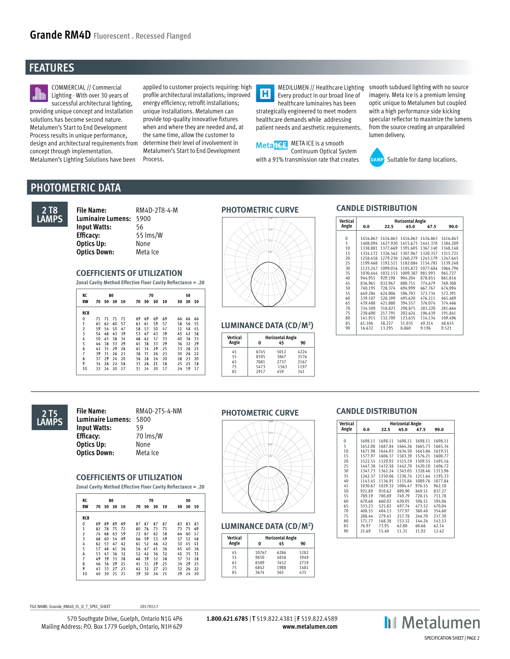## **FEATURES**



COMMERCIAL // Commercial Lighting - With over 30 years of successful architectural lighting, providing unique concept and installation solutions has become second nature. Metalumen's Start to End Development Process results in unique performance, design and architectural requirements from concept through implementation. Metalumen's Lighting Solutions have been

applied to customer projects requiring: high profile architectural installations; improved energy efficiency; retrofit installations; unique installations. Metalumen can provide top-quality innovative fixtures when and where they are needed and, at the same time, allow the customer to determine their level of involvement in Metalumen's Start to End Development Process.

 $\overline{\mathbf{H}}$ Every product in our broad line of healthcare luminaires has been strategically engineered to meet modern healthcare demands while addressing patient needs and aesthetic requirements.



MEDILUMEN // Healthcare Lighting smooth subdued lighting with no source imagery. Meta Ice is a premium lensing optic unique to Metalumen but coupled with a high performance side kicking specular reflector to maximize the lumens from the source creating an unparalleled lumen delivery.



Suitable for damp locations.

## **PHOTOMETRIC DATA**



**File Name:** RM4D-2T8-4-M **PHOTOMETRIC CURVE Luminaire Lumens:** 5900 **Input Watts:** 56 **Efficacy:** 55 lms/W **Optics Up:** None **Optics Down:** Meta Ice

### **COEFFICIENTS OF UTILIZATION**

**Zonal Cavity Method Effective Floor Cavity Reflectance = .20**

| RC                      |    |    | 80 |    |    | 70 |    |    |    | 50 |    |  |  |
|-------------------------|----|----|----|----|----|----|----|----|----|----|----|--|--|
| <b>RW</b>               | 70 | 50 | 30 | 10 | 70 | 50 | 30 | 10 | 50 | 30 | 10 |  |  |
| <b>RCR</b>              |    |    |    |    |    |    |    |    |    |    |    |  |  |
| 0                       | 71 | 71 | 71 | 71 | 69 | 69 | 69 | 69 | 66 | 66 | 66 |  |  |
| $\mathbf{1}$            | 65 | 62 | 60 | 57 | 63 | 61 | 59 | 57 | 58 | 56 | 55 |  |  |
| $\overline{2}$          | 59 | 54 | 50 | 47 | 58 | 53 | 50 | 47 | 51 | 48 | 45 |  |  |
| $\overline{\mathbf{3}}$ | 54 | 48 | 43 | 39 | 53 | 47 | 43 | 39 | 45 | 42 | 38 |  |  |
| 4                       | 50 | 43 | 38 | 34 | 48 | 42 | 37 | 33 | 40 | 36 | 33 |  |  |
| 5                       | 46 | 38 | 33 | 29 | 45 | 38 | 33 | 29 | 36 | 32 | 29 |  |  |
| 6                       | 42 | 35 | 29 | 26 | 41 | 34 | 29 | 25 | 33 | 28 | 25 |  |  |
| 7                       | 39 | 31 | 26 | 23 | 38 | 31 | 26 | 23 | 30 | 26 | 22 |  |  |
| 8                       | 37 | 29 | 24 | 20 | 36 | 28 | 24 | 20 | 28 | 23 | 20 |  |  |
| 9                       | 34 | 26 | 22 | 18 | 33 | 26 | 21 | 18 | 25 | 21 | 18 |  |  |
| 10                      | 32 | 24 | 20 | 17 | 31 | 24 | 20 | 17 | 24 | 19 | 17 |  |  |

| Vertical | <b>Horizontal Angle</b> |      |      |  |  |  |  |
|----------|-------------------------|------|------|--|--|--|--|
| Angle    | o                       | 45   | 90   |  |  |  |  |
| 45       | 8745                    | 5012 | 4224 |  |  |  |  |
| 55       | 8105                    | 3867 | 3176 |  |  |  |  |
| 65       | 7081                    | 2737 | 2167 |  |  |  |  |
| 75       | 5473                    | 1563 | 1197 |  |  |  |  |
| 85       | 2917                    | 459  | 341  |  |  |  |  |

### **CANDLE DISTRIBUTION**

|                                          | Vertical   |                    |                                                                            | <b>Horizontal Angle</b> |                      |                      |
|------------------------------------------|------------|--------------------|----------------------------------------------------------------------------|-------------------------|----------------------|----------------------|
| 051                                      | Angle      | 0.0                | 22.5                                                                       | 45.0                    | 67.5                 | 90.0                 |
|                                          | $^{\circ}$ |                    | 1416.863 1416.863 1416.863 1416.863                                        |                         |                      | 1416.863             |
|                                          | 5<br>10    |                    | 1408.094 1427.920 1415.673 1441.378<br>1338.881 1377.669 1391.605 1367.140 |                         |                      | 1384.209<br>1348.148 |
|                                          | 15<br>20   |                    | 1324.172 1326.562 1307.967 1320.357<br>1258.458 1279.230 1260.279          |                         | 1243.179             | 1311.721<br>1247.645 |
|                                          | 25<br>30   | 1123.247           | 1199.468 1192.511 1182.084<br>1099.016                                     | 1105.872                | 1154.781<br>1077.684 | 1139.248<br>1064.796 |
|                                          | 35         | 1030.444           | 1032.153                                                                   | 1009.387                | 981.993              | 965.727              |
|                                          | 40<br>45   | 944.955<br>836.965 | 929.198<br>832.967                                                         | 904.204<br>800.751      | 878.855<br>774.679   | 861.816<br>769.308   |
|                                          | 50<br>55   | 740.195<br>649.284 | 728.374<br>624.006                                                         | 694.999<br>596.703      | 667.767<br>573.734   | 674.094<br>572.391   |
|                                          | 60         | 539,107            | 528.599                                                                    | 495.620                 | 476.211<br>376.074   | 465.489              |
|                                          | 65<br>70   | 439.488<br>334.509 | 421.880<br>318,823                                                         | 394.557<br>298.875      | 283,220              | 374,466<br>281.664   |
|                                          | 75<br>80   | 230,690<br>141.915 | 217.791<br>132,709                                                         | 202.624<br>123.635      | 196.439<br>114.134   | 191.841<br>109.496   |
| <b>LUMINANCE DATA (CD/M<sup>2</sup>)</b> | 85<br>90   | 61.106<br>16.632   | 58.227<br>13.295                                                           | 51.035<br>8.860         | 49.214<br>9.196      | 48.655<br>9.521      |
|                                          |            |                    |                                                                            |                         |                      |                      |



### **PHOTOMETRIC CURVE File Name:** RM4D-2T5-4-NM **Luminaire Lumens:** 5800

**Input Watts:** 59 **Efficacy:** 70 lms/W<br> **Optics Up:** None **Optics Up: Optics Down:** Meta Ice

### **COEFFICIENTS OF UTILIZATION**

**Zonal Cavity Method Effective Floor Cavity Reflectance = .20**

| RC             |    |    | 80 |      |    |    | 70 |    |    | 50 |    |
|----------------|----|----|----|------|----|----|----|----|----|----|----|
| <b>RW</b>      | 70 | 50 | 30 | - 10 | 70 | 50 | 30 | 10 | 50 | 30 | 10 |
| <b>RCR</b>     |    |    |    |      |    |    |    |    |    |    |    |
| 0              | 89 | 89 | 89 | 89   | 87 | 87 | 87 | 87 | 83 | 83 | 83 |
| 1              | 82 | 78 | 75 | 72   | 80 | 76 | 73 | 71 | 73 | 71 | 69 |
| $\overline{a}$ | 74 | 68 | 63 | 59   | 72 | 67 | 62 | 58 | 64 | 60 | 57 |
| 3              | 68 | 60 | 54 | 49   | 66 | 59 | 53 | 49 | 57 | 52 | 48 |
| 4              | 62 | 53 | 47 | 42   | 61 | 52 | 46 | 42 | 50 | 45 | 41 |
| 5              | 57 | 48 | 41 | 36   | 56 | 47 | 41 | 36 | 45 | 40 | 36 |
| 6              | 53 | 43 | 36 | 32   | 52 | 42 | 36 | 32 | 41 | 35 | 31 |
| 7              | 49 | 39 | 33 | 28   | 48 | 39 | 32 | 28 | 37 | 32 | 28 |
| 8              | 46 | 36 | 29 | 25   | 45 | 35 | 29 | 25 | 34 | 29 | 25 |
| 9              | 43 | 33 | 27 | 23   | 42 | 32 | 27 | 23 | 32 | 26 | 22 |
| 10             | 40 | 30 | 25 | 21   | 39 | 30 | 24 | 21 | 29 | 24 | 20 |



| Vertical |       | <b>Horizontal Angle</b> |      |  |
|----------|-------|-------------------------|------|--|
| Angle    | o     | 45                      | 90   |  |
| 45       | 10767 | 6286                    | 5282 |  |
| 55       | 9850  | 4858                    | 3949 |  |
| 65       | 8589  | 3452                    | 2719 |  |
| 75       | 6842  | 1988                    | 1481 |  |
| 85       | 3674  | 435                     |      |  |

### **CANDLE DISTRIBUTION**

|                               | <b>Vertical</b>                                                                | <b>Horizontal Angle</b>                                                                                                                            |                                                                                                                                                    |                                                                                                                                                    |                                                                                                                                                   |                                                                                                                                                   |
|-------------------------------|--------------------------------------------------------------------------------|----------------------------------------------------------------------------------------------------------------------------------------------------|----------------------------------------------------------------------------------------------------------------------------------------------------|----------------------------------------------------------------------------------------------------------------------------------------------------|---------------------------------------------------------------------------------------------------------------------------------------------------|---------------------------------------------------------------------------------------------------------------------------------------------------|
|                               | Angle                                                                          | 0.0                                                                                                                                                | 22.5                                                                                                                                               | 45.0                                                                                                                                               | 67.5                                                                                                                                              | 90.0                                                                                                                                              |
| 274<br>RΖ                     | 0<br>5<br>10<br>15<br>20<br>25<br>30<br>35<br>40<br>45<br>50<br>55<br>60<br>65 | 1698.11<br>1652.08<br>1671.98<br>1577.97<br>1522.55<br>1447.38<br>1347.73<br>1262.37<br>1143.45<br>1030.67<br>921.89<br>789.19<br>670.68<br>533.23 | 1698.11<br>1687.84<br>1644.03<br>1606.37<br>1529.92<br>1432.58<br>1362.24<br>1250.06<br>1136.91<br>1029.32<br>910.62<br>780.89<br>660.02<br>525.82 | 1698.11<br>1664.26<br>1634.50<br>1583.39<br>1515.19<br>1442.70<br>1343.05<br>1230.74<br>1115.84<br>1004.47<br>890.90<br>749.79<br>630.05<br>497.74 | 1698.11<br>1665.73<br>1643.86<br>1576.21<br>1509.55<br>1420.10<br>1328.46<br>1211.64<br>1089.76<br>976.55<br>849.51<br>720.15<br>596.51<br>473.52 | 1698.11<br>1665.34<br>1619.51<br>1600.77<br>1495.16<br>1406.72<br>1313.96<br>1195.33<br>1077.84<br>962.18<br>837.27<br>711.78<br>594.06<br>470.04 |
|                               | 70<br>75                                                                       | 408.55<br>288.44                                                                                                                                   | 404.13<br>279.41                                                                                                                                   | 377.97<br>257.78                                                                                                                                   | 360.40<br>244.70                                                                                                                                  | 354.60<br>237.30                                                                                                                                  |
| <b>LUMINANCE DATA (CD/M2)</b> | 80<br>85<br>90                                                                 | 171.77<br>76.97<br>21.69                                                                                                                           | 168.38<br>73.95<br>15.40                                                                                                                           | 153.32<br>62.80<br>11.31                                                                                                                           | 144.24<br>60.66<br>11.92                                                                                                                          | 143.53<br>62.14<br>12.42                                                                                                                          |
| .<br>.                        |                                                                                |                                                                                                                                                    |                                                                                                                                                    |                                                                                                                                                    |                                                                                                                                                   |                                                                                                                                                   |

FILE NAME: Grande RM4D\_FL\_D\_T\_SPEC\_SHEET 20170517

570 Southgate Drive, Guelph, Ontario N1G 4P6 Mailing Address: P.O. Box 1779 Guelph, Ontario, N1H 6Z9

**1.800.621.6785** | **T** 519.822.4381 | **F** 519.822.4589 **www.metalumen.com**

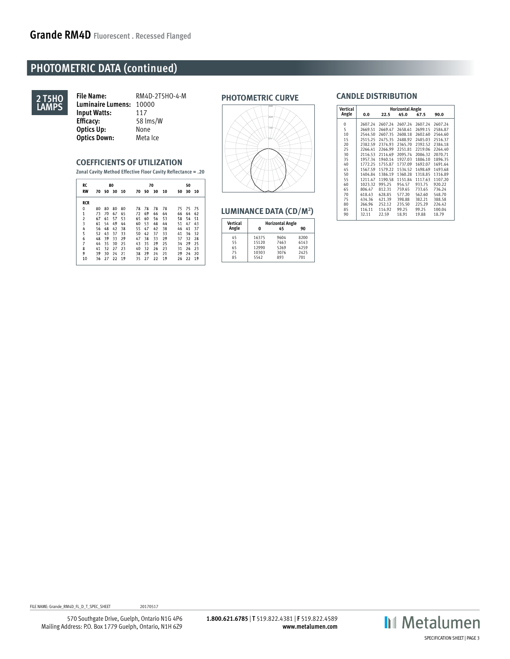## **PHOTOMETRIC DATA (continued)**



**PHOTOMETRIC CURVE File Name:** RM4D-2T5HO-4-M **Luminaire Lumens:** 10000 **Input Watts:** 117<br>**Efficacy:** 58 In **Efficacy:** 58 lms/W **Optics Up:** None<br> **Optics Down:** Meta Ice **Optics Down:** 

### **COEFFICIENTS OF UTILIZATION**

**Zonal Cavity Method Effective Floor Cavity Reflectance = .20**

| RC             | 80 |    |       |      |    | 70 |    |    |    | 50 |    |  |  |
|----------------|----|----|-------|------|----|----|----|----|----|----|----|--|--|
| <b>RW</b>      | 70 |    | 50 30 | - 10 | 70 | 50 | 30 | 10 | 50 | 30 | 10 |  |  |
| <b>RCR</b>     |    |    |       |      |    |    |    |    |    |    |    |  |  |
| $\mathbf 0$    | 80 | 80 | 80    | 80   | 78 | 78 | 78 | 78 | 75 | 75 | 75 |  |  |
| $\mathbf{1}$   | 73 | 70 | 67    | 65   | 72 | 69 | 66 | 64 | 66 | 64 | 62 |  |  |
| $\overline{a}$ | 67 | 61 | 57    | 53   | 65 | 60 | 56 | 53 | 58 | 54 | 51 |  |  |
| 3              | 61 | 54 | 49    | 44   | 60 | 53 | 48 | 44 | 51 | 47 | 43 |  |  |
| 4              | 56 | 48 | 42    | 38   | 55 | 47 | 42 | 38 | 46 | 41 | 37 |  |  |
| 5              | 52 | 43 | 37    | 33   | 50 | 42 | 37 | 33 | 41 | 36 | 32 |  |  |
| 6              | 48 | 39 | 33    | 29   | 47 | 38 | 33 | 29 | 37 | 32 | 28 |  |  |
| 7              | 44 | 35 | 30    | 25   | 43 | 35 | 29 | 25 | 34 | 29 | 25 |  |  |
| 8              | 41 | 32 | 27    | 23   | 40 | 32 | 26 | 23 | 31 | 26 | 23 |  |  |
| 9              | 39 | 30 | 24    | 21   | 38 | 29 | 24 | 21 | 29 | 24 | 20 |  |  |
| 10             | 36 | 27 | 22    | 19   | 35 | 27 | 22 | 19 | 26 | 22 | 19 |  |  |



| <b>Vertical</b> |       | <b>Horizontal Angle</b> |      |  |
|-----------------|-------|-------------------------|------|--|
| Angle           | 0     | 45                      | 90   |  |
| 45              | 16375 | 9604                    | 8200 |  |
| 55              | 15120 | 7463                    | 6143 |  |
| 65              | 12990 | 5269                    | 4259 |  |
| 75              | 10303 | 3076                    | 2425 |  |
| 85              | 5542  | 893                     | 701  |  |

### **CANDLE DISTRIBUTION**

|                        | Vertical           |                                          |                                          | <b>Horizontal Angle</b>                  |                                          |                                          |
|------------------------|--------------------|------------------------------------------|------------------------------------------|------------------------------------------|------------------------------------------|------------------------------------------|
| 3324                   | Angle              | 0.0                                      | 22.5                                     | 45.0                                     | 67.5                                     | 90.0                                     |
|                        | 0<br>5<br>10<br>15 | 2607.24<br>2669.51<br>2544.50<br>2515.25 | 2607.24<br>2669.47<br>2607.35<br>2475.35 | 2607.24<br>2658.61<br>2608.18<br>2488.92 | 2607.24<br>2699.15<br>2602.60<br>2485.03 | 2607.24<br>2584.87<br>2564.60<br>2516.37 |
|                        | 20<br>25           | 2382.59<br>2266.41                       | 2374.93<br>2266.99                       | 2365.70<br>2251.81                       | 2392.52<br>2219.06                       | 2384.18<br>2264.40                       |
|                        | 30                 | 2116.53                                  | 2114.69                                  | 2095.74                                  | 2086.32                                  | 2070.71                                  |
|                        | 35<br>40           | 1957.34<br>1772.25                       | 1940.14<br>1755.87                       | 1927.03<br>1737.09                       | 1886.10<br>1692.07                       | 1896.35<br>1691.64                       |
|                        | 45                 | 1567.59                                  | 1579.22                                  | 1534.52                                  | 1498.69                                  | 1493.68                                  |
|                        | 50<br>55           | 1404.84<br>1211.47                       | 1386.19<br>1190.58                       | 1360.28<br>1151.84                       | 1318.85<br>1117.63                       | 1316.89<br>1107.20                       |
|                        | 60                 | 1023.32                                  | 995.25                                   | 954.57                                   | 933.75                                   | 920.22                                   |
|                        | 65                 | 806.47                                   | 812.31                                   | 759.65                                   | 733.65                                   | 736.24                                   |
|                        | 70                 | 618.43                                   | 628.85                                   | 577.20                                   | 562.60                                   | 548.70                                   |
|                        | 75                 | 434.36                                   | 421.39                                   | 398.88                                   | 382.21                                   | 388.58                                   |
|                        | 80                 | 266.96                                   | 252.12                                   | 235.50                                   | 225.29                                   | 226.42                                   |
| LUMINANCE DATA (CD/M²) | 85<br>90           | 116.11<br>32.11                          | 114.92<br>22.59                          | 99.25<br>18.91                           | 99.25<br>19.88                           | 100.04<br>18.79                          |

FILE NAME: Grande\_RM4D\_FL\_D\_T\_SPEC\_SHEET 20170517